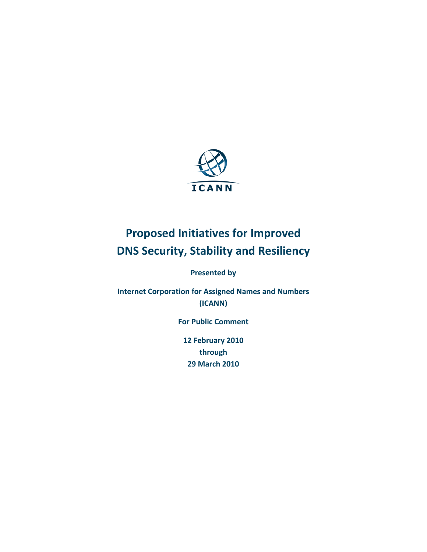

**Presented by** 

**Internet Corporation for Assigned Names and Numbers (ICANN)**

**For Public Comment**

**12 February 2010 through 29 March 2010**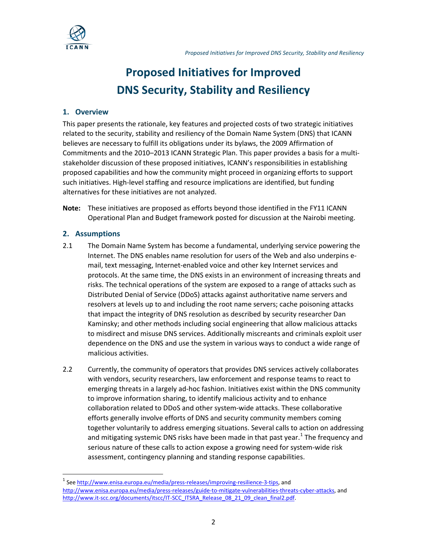

## **1. Overview**

This paper presents the rationale, key features and projected costs of two strategic initiatives related to the security, stability and resiliency of the Domain Name System (DNS) that ICANN believes are necessary to fulfill its obligations under its bylaws, the 2009 Affirmation of Commitments and the 2010–2013 ICANN Strategic Plan. This paper provides a basis for a multistakeholder discussion of these proposed initiatives, ICANN's responsibilities in establishing proposed capabilities and how the community might proceed in organizing efforts to support such initiatives. High-level staffing and resource implications are identified, but funding alternatives for these initiatives are not analyzed.

**Note:** These initiatives are proposed as efforts beyond those identified in the FY11 ICANN Operational Plan and Budget framework posted for discussion at the Nairobi meeting.

# **2. Assumptions**

- 2.1 The Domain Name System has become a fundamental, underlying service powering the Internet. The DNS enables name resolution for users of the Web and also underpins email, text messaging, Internet-enabled voice and other key Internet services and protocols. At the same time, the DNS exists in an environment of increasing threats and risks. The technical operations of the system are exposed to a range of attacks such as Distributed Denial of Service (DDoS) attacks against authoritative name servers and resolvers at levels up to and including the root name servers; cache poisoning attacks that impact the integrity of DNS resolution as described by security researcher Dan Kaminsky; and other methods including social engineering that allow malicious attacks to misdirect and misuse DNS services. Additionally miscreants and criminals exploit user dependence on the DNS and use the system in various ways to conduct a wide range of malicious activities.
- 2.2 Currently, the community of operators that provides DNS services actively collaborates with vendors, security researchers, law enforcement and response teams to react to emerging threats in a largely ad-hoc fashion. Initiatives exist within the DNS community to improve information sharing, to identify malicious activity and to enhance collaboration related to DDoS and other system-wide attacks. These collaborative efforts generally involve efforts of DNS and security community members coming together voluntarily to address emerging situations. Several calls to action on addressing and mitigating systemic DNS risks have been made in that past year.<sup>[1](#page-1-0)</sup> The frequency and serious nature of these calls to action expose a growing need for system-wide risk assessment, contingency planning and standing response capabilities.

<span id="page-1-0"></span><sup>1&</sup>lt;br><sup>1</sup> See [http://www.enisa.europa.eu/media/press-releases/improving-resilience-3-tips,](http://www.enisa.europa.eu/media/press-releases/improving-resilience-3-tips) and [http://www.enisa.europa.eu/media/press-releases/guide-to-mitigate-vulnerabilities-threats-cyber-attacks,](http://www.enisa.europa.eu/media/press-releases/guide-to-mitigate-vulnerabilities-threats-cyber-attacks) and [http://www.it-scc.org/documents/itscc/IT-SCC\\_ITSRA\\_Release\\_08\\_21\\_09\\_clean\\_final2.pdf.](http://www.it-scc.org/documents/itscc/IT-SCC_ITSRA_Release_08_21_09_clean_final2.pdf)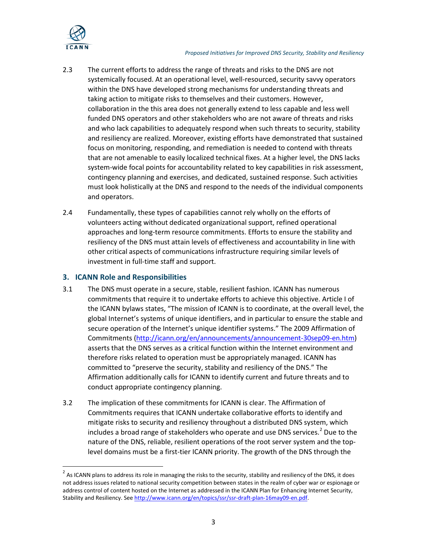

- 2.3 The current efforts to address the range of threats and risks to the DNS are not systemically focused. At an operational level, well-resourced, security savvy operators within the DNS have developed strong mechanisms for understanding threats and taking action to mitigate risks to themselves and their customers. However, collaboration in the this area does not generally extend to less capable and less well funded DNS operators and other stakeholders who are not aware of threats and risks and who lack capabilities to adequately respond when such threats to security, stability and resiliency are realized. Moreover, existing efforts have demonstrated that sustained focus on monitoring, responding, and remediation is needed to contend with threats that are not amenable to easily localized technical fixes. At a higher level, the DNS lacks system-wide focal points for accountability related to key capabilities in risk assessment, contingency planning and exercises, and dedicated, sustained response. Such activities must look holistically at the DNS and respond to the needs of the individual components and operators.
- 2.4 Fundamentally, these types of capabilities cannot rely wholly on the efforts of volunteers acting without dedicated organizational support, refined operational approaches and long-term resource commitments. Efforts to ensure the stability and resiliency of the DNS must attain levels of effectiveness and accountability in line with other critical aspects of communications infrastructure requiring similar levels of investment in full-time staff and support.

# **3. ICANN Role and Responsibilities**

- 3.1 The DNS must operate in a secure, stable, resilient fashion. ICANN has numerous commitments that require it to undertake efforts to achieve this objective. Article I of the ICANN bylaws states, "The mission of ICANN is to coordinate, at the overall level, the global Internet's systems of unique identifiers, and in particular to ensure the stable and secure operation of the Internet's unique identifier systems." The 2009 Affirmation of Commitments [\(http://icann.org/en/announcements/announcement-30sep09-en.htm\)](http://icann.org/en/announcements/announcement-30sep09-en.htm) asserts that the DNS serves as a critical function within the Internet environment and therefore risks related to operation must be appropriately managed. ICANN has committed to "preserve the security, stability and resiliency of the DNS." The Affirmation additionally calls for ICANN to identify current and future threats and to conduct appropriate contingency planning.
- 3.2 The implication of these commitments for ICANN is clear. The Affirmation of Commitments requires that ICANN undertake collaborative efforts to identify and mitigate risks to security and resiliency throughout a distributed DNS system, which includes a broad range of stakeholders who operate and use DNS services.<sup>[2](#page-2-0)</sup> Due to the nature of the DNS, reliable, resilient operations of the root server system and the toplevel domains must be a first-tier ICANN priority. The growth of the DNS through the

<span id="page-2-0"></span> $^2$  As ICANN plans to address its role in managing the risks to the security, stability and resiliency of the DNS, it does not address issues related to national security competition between states in the realm of cyber war or espionage or address control of content hosted on the Internet as addressed in the ICANN Plan for Enhancing Internet Security, Stability and Resiliency. See [http://www.icann.org/en/topics/ssr/ssr-draft-plan-16may09-en.pdf.](http://www.icann.org/en/topics/ssr/ssr-draft-plan-16may09-en.pdf)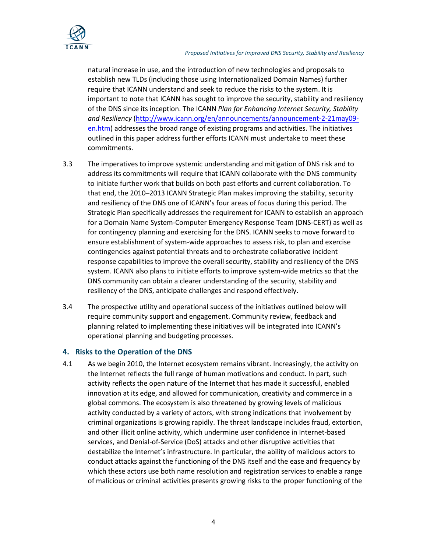

natural increase in use, and the introduction of new technologies and proposals to establish new TLDs (including those using Internationalized Domain Names) further require that ICANN understand and seek to reduce the risks to the system. It is important to note that ICANN has sought to improve the security, stability and resiliency of the DNS since its inception. The ICANN *Plan for Enhancing Internet Security, Stability and Resiliency* [\(http://www.icann.org/en/announcements/announcement-2-21may09](http://www.icann.org/en/announcements/announcement-2-21may09-en.htm) [en.htm\)](http://www.icann.org/en/announcements/announcement-2-21may09-en.htm) addresses the broad range of existing programs and activities. The initiatives outlined in this paper address further efforts ICANN must undertake to meet these commitments.

- 3.3 The imperatives to improve systemic understanding and mitigation of DNS risk and to address its commitments will require that ICANN collaborate with the DNS community to initiate further work that builds on both past efforts and current collaboration. To that end, the 2010–2013 ICANN Strategic Plan makes improving the stability, security and resiliency of the DNS one of ICANN's four areas of focus during this period. The Strategic Plan specifically addresses the requirement for ICANN to establish an approach for a Domain Name System-Computer Emergency Response Team (DNS-CERT) as well as for contingency planning and exercising for the DNS. ICANN seeks to move forward to ensure establishment of system-wide approaches to assess risk, to plan and exercise contingencies against potential threats and to orchestrate collaborative incident response capabilities to improve the overall security, stability and resiliency of the DNS system. ICANN also plans to initiate efforts to improve system-wide metrics so that the DNS community can obtain a clearer understanding of the security, stability and resiliency of the DNS, anticipate challenges and respond effectively.
- 3.4 The prospective utility and operational success of the initiatives outlined below will require community support and engagement. Community review, feedback and planning related to implementing these initiatives will be integrated into ICANN's operational planning and budgeting processes.

# **4. Risks to the Operation of the DNS**

4.1 As we begin 2010, the Internet ecosystem remains vibrant. Increasingly, the activity on the Internet reflects the full range of human motivations and conduct. In part, such activity reflects the open nature of the Internet that has made it successful, enabled innovation at its edge, and allowed for communication, creativity and commerce in a global commons. The ecosystem is also threatened by growing levels of malicious activity conducted by a variety of actors, with strong indications that involvement by criminal organizations is growing rapidly. The threat landscape includes fraud, extortion, and other illicit online activity, which undermine user confidence in Internet-based services, and Denial-of-Service (DoS) attacks and other disruptive activities that destabilize the Internet's infrastructure. In particular, the ability of malicious actors to conduct attacks against the functioning of the DNS itself and the ease and frequency by which these actors use both name resolution and registration services to enable a range of malicious or criminal activities presents growing risks to the proper functioning of the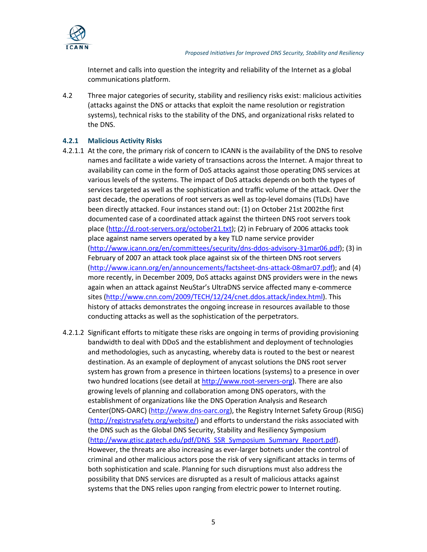

Internet and calls into question the integrity and reliability of the Internet as a global communications platform.

4.2 Three major categories of security, stability and resiliency risks exist: malicious activities (attacks against the DNS or attacks that exploit the name resolution or registration systems), technical risks to the stability of the DNS, and organizational risks related to the DNS.

## **4.2.1 Malicious Activity Risks**

- 4.2.1.1 At the core, the primary risk of concern to ICANN is the availability of the DNS to resolve names and facilitate a wide variety of transactions across the Internet. A major threat to availability can come in the form of DoS attacks against those operating DNS services at various levels of the systems. The impact of DoS attacks depends on both the types of services targeted as well as the sophistication and traffic volume of the attack. Over the past decade, the operations of root servers as well as top-level domains (TLDs) have been directly attacked. Four instances stand out: (1) on October 21st 2002the first documented case of a coordinated attack against the thirteen DNS root servers took place [\(http://d.root-servers.org/october21.txt\)](http://d.root-servers.org/october21.txt); (2) in February of 2006 attacks took place against name servers operated by a key TLD name service provider [\(http://www.icann.org/en/committees/security/dns-ddos-advisory-31mar06.pdf\)](http://www.icann.org/en/committees/security/dns-ddos-advisory-31mar06.pdf); (3) in February of 2007 an attack took place against six of the thirteen DNS root servers [\(http://www.icann.org/en/announcements/factsheet-dns-attack-08mar07.pdf\)](http://www.icann.org/en/announcements/factsheet-dns-attack-08mar07.pdf); and (4) more recently, in December 2009, DoS attacks against DNS providers were in the news again when an attack against NeuStar's UltraDNS service affected many e-commerce sites [\(http://www.cnn.com/2009/TECH/12/24/cnet.ddos.attack/index.html\)](http://www.cnn.com/2009/TECH/12/24/cnet.ddos.attack/index.html). This history of attacks demonstrates the ongoing increase in resources available to those conducting attacks as well as the sophistication of the perpetrators.
- 4.2.1.2 Significant efforts to mitigate these risks are ongoing in terms of providing provisioning bandwidth to deal with DDoS and the establishment and deployment of technologies and methodologies, such as anycasting, whereby data is routed to the best or nearest destination. As an example of deployment of anycast solutions the DNS root server system has grown from a presence in thirteen locations (systems) to a presence in over two hundred locations (see detail a[t http://www.root-servers-org\)](http://www.root-servers-org/). There are also growing levels of planning and collaboration among DNS operators, with the establishment of organizations like the DNS Operation Analysis and Research Center(DNS-OARC) [\(http://www.dns-oarc.org\)](http://www.dns-oarc.org/), the Registry Internet Safety Group (RISG) [\(http://registrysafety.org/website/\)](http://registrysafety.org/website/) and efforts to understand the risks associated with the DNS such as the Global DNS Security, Stability and Resiliency Symposium [\(http://www.gtisc.gatech.edu/pdf/DNS\\_SSR\\_Symposium\\_Summary\\_Report.pdf\)](http://www.gtisc.gatech.edu/pdf/DNS_SSR_Symposium_Summary_Report.pdf). However, the threats are also increasing as ever-larger botnets under the control of criminal and other malicious actors pose the risk of very significant attacks in terms of both sophistication and scale. Planning for such disruptions must also address the possibility that DNS services are disrupted as a result of malicious attacks against systems that the DNS relies upon ranging from electric power to Internet routing.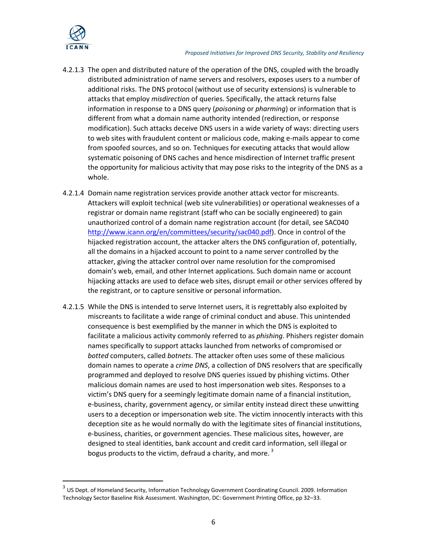

- 4.2.1.3 The open and distributed nature of the operation of the DNS, coupled with the broadly distributed administration of name servers and resolvers, exposes users to a number of additional risks. The DNS protocol (without use of security extensions) is vulnerable to attacks that employ *misdirection* of queries. Specifically, the attack returns false information in response to a DNS query (*poisoning* or *pharming*) or information that is different from what a domain name authority intended (redirection, or response modification). Such attacks deceive DNS users in a wide variety of ways: directing users to web sites with fraudulent content or malicious code, making e-mails appear to come from spoofed sources, and so on. Techniques for executing attacks that would allow systematic poisoning of DNS caches and hence misdirection of Internet traffic present the opportunity for malicious activity that may pose risks to the integrity of the DNS as a whole.
- 4.2.1.4 Domain name registration services provide another attack vector for miscreants. Attackers will exploit technical (web site vulnerabilities) or operational weaknesses of a registrar or domain name registrant (staff who can be socially engineered) to gain unauthorized control of a domain name registration account (for detail, see SAC040 [http://www.icann.org/en/committees/security/sac040.pdf\)](http://www.icann.org/en/committees/security/sac040.pdf). Once in control of the hijacked registration account, the attacker alters the DNS configuration of, potentially, all the domains in a hijacked account to point to a name server controlled by the attacker, giving the attacker control over name resolution for the compromised domain's web, email, and other Internet applications. Such domain name or account hijacking attacks are used to deface web sites, disrupt email or other services offered by the registrant, or to capture sensitive or personal information.
- 4.2.1.5 While the DNS is intended to serve Internet users, it is regrettably also exploited by miscreants to facilitate a wide range of criminal conduct and abuse. This unintended consequence is best exemplified by the manner in which the DNS is exploited to facilitate a malicious activity commonly referred to as *phishing*. Phishers register domain names specifically to support attacks launched from networks of compromised or *botted* computers, called *botnets*. The attacker often uses some of these malicious domain names to operate a *crime DNS*, a collection of DNS resolvers that are specifically programmed and deployed to resolve DNS queries issued by phishing victims. Other malicious domain names are used to host impersonation web sites. Responses to a victim's DNS query for a seemingly legitimate domain name of a financial institution, e-business, charity, government agency, or similar entity instead direct these unwitting users to a deception or impersonation web site. The victim innocently interacts with this deception site as he would normally do with the legitimate sites of financial institutions, e-business, charities, or government agencies. These malicious sites, however, are designed to steal identities, bank account and credit card information, sell illegal or bogus products to the victim, defraud a charity, and more.  $3$

<span id="page-5-0"></span><sup>&</sup>lt;sup>3</sup> US Dept. of Homeland Security, Information Technology Government Coordinating Council. 2009. Information Technology Sector Baseline Risk Assessment. Washington, DC: Government Printing Office, pp 32–33.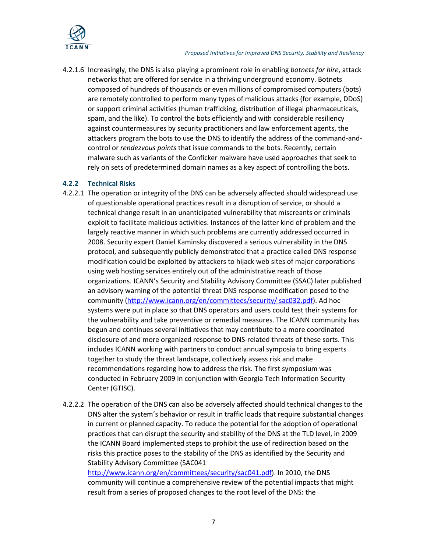

4.2.1.6 Increasingly, the DNS is also playing a prominent role in enabling *botnets for hire*, attack networks that are offered for service in a thriving underground economy. Botnets composed of hundreds of thousands or even millions of compromised computers (bots) are remotely controlled to perform many types of malicious attacks (for example, DDoS) or support criminal activities (human trafficking, distribution of illegal pharmaceuticals, spam, and the like). To control the bots efficiently and with considerable resiliency against countermeasures by security practitioners and law enforcement agents, the attackers program the bots to use the DNS to identify the address of the command-andcontrol or *rendezvous points* that issue commands to the bots. Recently, certain malware such as variants of the Conficker malware have used approaches that seek to rely on sets of predetermined domain names as a key aspect of controlling the bots.

#### **4.2.2 Technical Risks**

- 4.2.2.1 The operation or integrity of the DNS can be adversely affected should widespread use of questionable operational practices result in a disruption of service, or should a technical change result in an unanticipated vulnerability that miscreants or criminals exploit to facilitate malicious activities. Instances of the latter kind of problem and the largely reactive manner in which such problems are currently addressed occurred in 2008. Security expert Daniel Kaminsky discovered a serious vulnerability in the DNS protocol, and subsequently publicly demonstrated that a practice called DNS response modification could be exploited by attackers to hijack web sites of major corporations using web hosting services entirely out of the administrative reach of those organizations. ICANN's Security and Stability Advisory Committee (SSAC) later published an advisory warning of the potential threat DNS response modification posed to the community [\(http://www.icann.org/en/committees/security/ sac032.pdf\)](http://www.icann.org/en/committees/security/%20sac032.pdf). Ad hoc systems were put in place so that DNS operators and users could test their systems for the vulnerability and take preventive or remedial measures. The ICANN community has begun and continues several initiatives that may contribute to a more coordinated disclosure of and more organized response to DNS-related threats of these sorts. This includes ICANN working with partners to conduct annual symposia to bring experts together to study the threat landscape, collectively assess risk and make recommendations regarding how to address the risk. The first symposium was conducted in February 2009 in conjunction with Georgia Tech Information Security Center (GTISC).
- 4.2.2.2 The operation of the DNS can also be adversely affected should technical changes to the DNS alter the system's behavior or result in traffic loads that require substantial changes in current or planned capacity. To reduce the potential for the adoption of operational practices that can disrupt the security and stability of the DNS at the TLD level, in 2009 the ICANN Board implemented steps to prohibit the use of redirection based on the risks this practice poses to the stability of the DNS as identified by the Security and Stability Advisory Committee (SAC041

[http://www.icann.org/en/committees/security/sac041.pdf\)](http://www.icann.org/en/committees/security/sac041.pdf). In 2010, the DNS community will continue a comprehensive review of the potential impacts that might result from a series of proposed changes to the root level of the DNS: the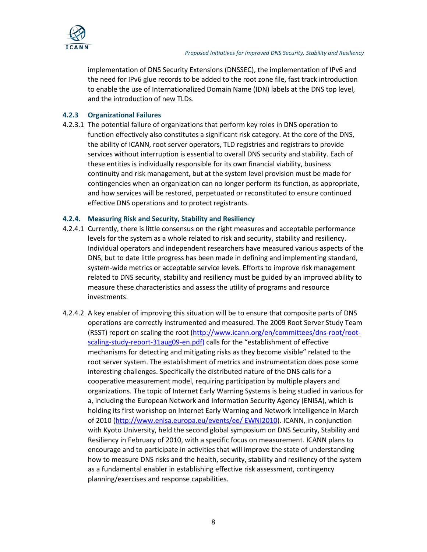

implementation of DNS Security Extensions (DNSSEC), the implementation of IPv6 and the need for IPv6 glue records to be added to the root zone file, fast track introduction to enable the use of Internationalized Domain Name (IDN) labels at the DNS top level, and the introduction of new TLDs.

### **4.2.3 Organizational Failures**

4.2.3.1 The potential failure of organizations that perform key roles in DNS operation to function effectively also constitutes a significant risk category. At the core of the DNS, the ability of ICANN, root server operators, TLD registries and registrars to provide services without interruption is essential to overall DNS security and stability. Each of these entities is individually responsible for its own financial viability, business continuity and risk management, but at the system level provision must be made for contingencies when an organization can no longer perform its function, as appropriate, and how services will be restored, perpetuated or reconstituted to ensure continued effective DNS operations and to protect registrants.

#### **4.2.4. Measuring Risk and Security, Stability and Resiliency**

- 4.2.4.1 Currently, there is little consensus on the right measures and acceptable performance levels for the system as a whole related to risk and security, stability and resiliency. Individual operators and independent researchers have measured various aspects of the DNS, but to date little progress has been made in defining and implementing standard, system-wide metrics or acceptable service levels. Efforts to improve risk management related to DNS security, stability and resiliency must be guided by an improved ability to measure these characteristics and assess the utility of programs and resource investments.
- 4.2.4.2 A key enabler of improving this situation will be to ensure that composite parts of DNS operations are correctly instrumented and measured. The 2009 Root Server Study Team (RSST) report on scaling the root [\(http://www.icann.org/en/committees/dns-root/root](http://www.icann.org/en/committees/dns-root/root-scaling-study-report-31aug09-en.pdf)[scaling-study-report-31aug09-en.pdf\)](http://www.icann.org/en/committees/dns-root/root-scaling-study-report-31aug09-en.pdf) calls for the "establishment of effective mechanisms for detecting and mitigating risks as they become visible" related to the root server system. The establishment of metrics and instrumentation does pose some interesting challenges. Specifically the distributed nature of the DNS calls for a cooperative measurement model, requiring participation by multiple players and organizations. The topic of Internet Early Warning Systems is being studied in various for a, including the European Network and Information Security Agency (ENISA), which is holding its first workshop on Internet Early Warning and Network Intelligence in March of 2010 [\(http://www.enisa.europa.eu/events/ee/ EWNI2010\)](http://www.enisa.europa.eu/events/ee/%20EWNI2010). ICANN, in conjunction with Kyoto University, held the second global symposium on DNS Security, Stability and Resiliency in February of 2010, with a specific focus on measurement. ICANN plans to encourage and to participate in activities that will improve the state of understanding how to measure DNS risks and the health, security, stability and resiliency of the system as a fundamental enabler in establishing effective risk assessment, contingency planning/exercises and response capabilities.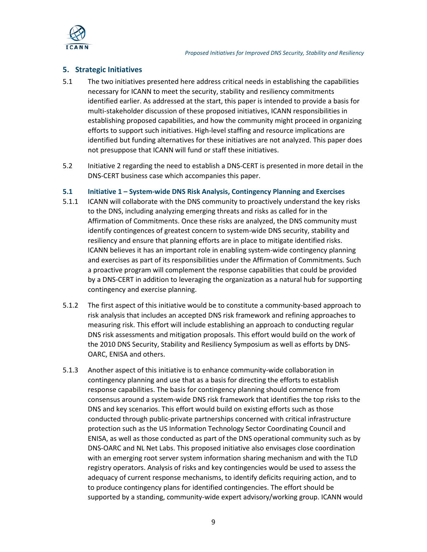

## **5. Strategic Initiatives**

- 5.1 The two initiatives presented here address critical needs in establishing the capabilities necessary for ICANN to meet the security, stability and resiliency commitments identified earlier. As addressed at the start, this paper is intended to provide a basis for multi-stakeholder discussion of these proposed initiatives, ICANN responsibilities in establishing proposed capabilities, and how the community might proceed in organizing efforts to support such initiatives. High-level staffing and resource implications are identified but funding alternatives for these initiatives are not analyzed. This paper does not presuppose that ICANN will fund or staff these initiatives.
- 5.2 Initiative 2 regarding the need to establish a DNS-CERT is presented in more detail in the DNS-CERT business case which accompanies this paper.

## **5.1 Initiative 1 – System-wide DNS Risk Analysis, Contingency Planning and Exercises**

- 5.1.1 ICANN will collaborate with the DNS community to proactively understand the key risks to the DNS, including analyzing emerging threats and risks as called for in the Affirmation of Commitments. Once these risks are analyzed, the DNS community must identify contingences of greatest concern to system-wide DNS security, stability and resiliency and ensure that planning efforts are in place to mitigate identified risks. ICANN believes it has an important role in enabling system-wide contingency planning and exercises as part of its responsibilities under the Affirmation of Commitments. Such a proactive program will complement the response capabilities that could be provided by a DNS-CERT in addition to leveraging the organization as a natural hub for supporting contingency and exercise planning.
- 5.1.2 The first aspect of this initiative would be to constitute a community-based approach to risk analysis that includes an accepted DNS risk framework and refining approaches to measuring risk. This effort will include establishing an approach to conducting regular DNS risk assessments and mitigation proposals. This effort would build on the work of the 2010 DNS Security, Stability and Resiliency Symposium as well as efforts by DNS-OARC, ENISA and others.
- 5.1.3 Another aspect of this initiative is to enhance community-wide collaboration in contingency planning and use that as a basis for directing the efforts to establish response capabilities. The basis for contingency planning should commence from consensus around a system-wide DNS risk framework that identifies the top risks to the DNS and key scenarios. This effort would build on existing efforts such as those conducted through public-private partnerships concerned with critical infrastructure protection such as the US Information Technology Sector Coordinating Council and ENISA, as well as those conducted as part of the DNS operational community such as by DNS-OARC and NL Net Labs. This proposed initiative also envisages close coordination with an emerging root server system information sharing mechanism and with the TLD registry operators. Analysis of risks and key contingencies would be used to assess the adequacy of current response mechanisms, to identify deficits requiring action, and to to produce contingency plans for identified contingencies. The effort should be supported by a standing, community-wide expert advisory/working group. ICANN would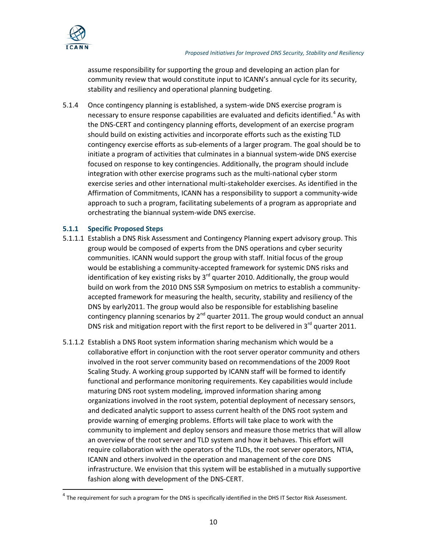

assume responsibility for supporting the group and developing an action plan for community review that would constitute input to ICANN's annual cycle for its security, stability and resiliency and operational planning budgeting.

5.1.4 Once contingency planning is established, a system-wide DNS exercise program is necessary to ensure response capabilities are evaluated and deficits identified.<sup>[4](#page-9-0)</sup> As with the DNS-CERT and contingency planning efforts, development of an exercise program should build on existing activities and incorporate efforts such as the existing TLD contingency exercise efforts as sub-elements of a larger program. The goal should be to initiate a program of activities that culminates in a biannual system-wide DNS exercise focused on response to key contingencies. Additionally, the program should include integration with other exercise programs such as the multi-national cyber storm exercise series and other international multi-stakeholder exercises. As identified in the Affirmation of Commitments, ICANN has a responsibility to support a community-wide approach to such a program, facilitating subelements of a program as appropriate and orchestrating the biannual system-wide DNS exercise.

## **5.1.1 Specific Proposed Steps**

- 5.1.1.1 Establish a DNS Risk Assessment and Contingency Planning expert advisory group. This group would be composed of experts from the DNS operations and cyber security communities. ICANN would support the group with staff. Initial focus of the group would be establishing a community-accepted framework for systemic DNS risks and identification of key existing risks by  $3<sup>rd</sup>$  quarter 2010. Additionally, the group would build on work from the 2010 DNS SSR Symposium on metrics to establish a communityaccepted framework for measuring the health, security, stability and resiliency of the DNS by early2011. The group would also be responsible for establishing baseline contingency planning scenarios by  $2^{nd}$  quarter 2011. The group would conduct an annual DNS risk and mitigation report with the first report to be delivered in  $3<sup>rd</sup>$  quarter 2011.
- 5.1.1.2 Establish a DNS Root system information sharing mechanism which would be a collaborative effort in conjunction with the root server operator community and others involved in the root server community based on recommendations of the 2009 Root Scaling Study. A working group supported by ICANN staff will be formed to identify functional and performance monitoring requirements. Key capabilities would include maturing DNS root system modeling, improved information sharing among organizations involved in the root system, potential deployment of necessary sensors, and dedicated analytic support to assess current health of the DNS root system and provide warning of emerging problems. Efforts will take place to work with the community to implement and deploy sensors and measure those metrics that will allow an overview of the root server and TLD system and how it behaves. This effort will require collaboration with the operators of the TLDs, the root server operators, NTIA, ICANN and others involved in the operation and management of the core DNS infrastructure. We envision that this system will be established in a mutually supportive fashion along with development of the DNS-CERT.

<span id="page-9-0"></span> $4$  The requirement for such a program for the DNS is specifically identified in the DHS IT Sector Risk Assessment.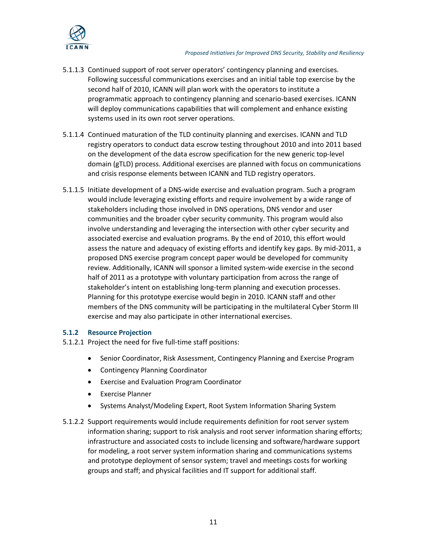

- 5.1.1.3 Continued support of root server operators' contingency planning and exercises. Following successful communications exercises and an initial table top exercise by the second half of 2010, ICANN will plan work with the operators to institute a programmatic approach to contingency planning and scenario-based exercises. ICANN will deploy communications capabilities that will complement and enhance existing systems used in its own root server operations.
- 5.1.1.4 Continued maturation of the TLD continuity planning and exercises. ICANN and TLD registry operators to conduct data escrow testing throughout 2010 and into 2011 based on the development of the data escrow specification for the new generic top-level domain (gTLD) process. Additional exercises are planned with focus on communications and crisis response elements between ICANN and TLD registry operators.
- 5.1.1.5 Initiate development of a DNS-wide exercise and evaluation program. Such a program would include leveraging existing efforts and require involvement by a wide range of stakeholders including those involved in DNS operations, DNS vendor and user communities and the broader cyber security community. This program would also involve understanding and leveraging the intersection with other cyber security and associated exercise and evaluation programs. By the end of 2010, this effort would assess the nature and adequacy of existing efforts and identify key gaps. By mid-2011, a proposed DNS exercise program concept paper would be developed for community review. Additionally, ICANN will sponsor a limited system-wide exercise in the second half of 2011 as a prototype with voluntary participation from across the range of stakeholder's intent on establishing long-term planning and execution processes. Planning for this prototype exercise would begin in 2010. ICANN staff and other members of the DNS community will be participating in the multilateral Cyber Storm III exercise and may also participate in other international exercises.

# **5.1.2 Resource Projection**

- 5.1.2.1 Project the need for five full-time staff positions:
	- Senior Coordinator, Risk Assessment, Contingency Planning and Exercise Program
	- Contingency Planning Coordinator
	- Exercise and Evaluation Program Coordinator
	- Exercise Planner
	- Systems Analyst/Modeling Expert, Root System Information Sharing System
- 5.1.2.2 Support requirements would include requirements definition for root server system information sharing; support to risk analysis and root server information sharing efforts; infrastructure and associated costs to include licensing and software/hardware support for modeling, a root server system information sharing and communications systems and prototype deployment of sensor system; travel and meetings costs for working groups and staff; and physical facilities and IT support for additional staff.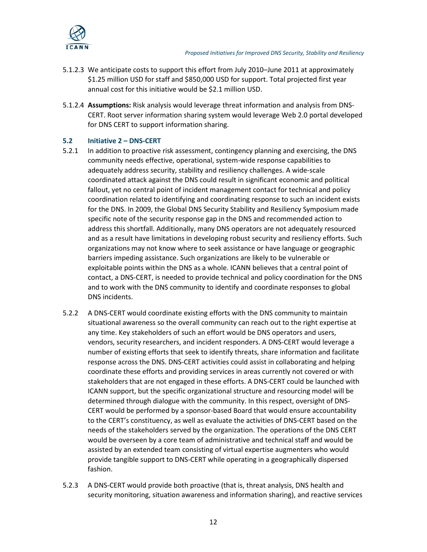

- 5.1.2.3 We anticipate costs to support this effort from July 2010–June 2011 at approximately \$1.25 million USD for staff and \$850,000 USD for support. Total projected first year annual cost for this initiative would be \$2.1 million USD.
- 5.1.2.4 **Assumptions:** Risk analysis would leverage threat information and analysis from DNS-CERT. Root server information sharing system would leverage Web 2.0 portal developed for DNS CERT to support information sharing.

## **5.2 Initiative 2 – DNS-CERT**

- 5.2.1 In addition to proactive risk assessment, contingency planning and exercising, the DNS community needs effective, operational, system-wide response capabilities to adequately address security, stability and resiliency challenges. A wide-scale coordinated attack against the DNS could result in significant economic and political fallout, yet no central point of incident management contact for technical and policy coordination related to identifying and coordinating response to such an incident exists for the DNS. In 2009, the Global DNS Security Stability and Resiliency Symposium made specific note of the security response gap in the DNS and recommended action to address this shortfall. Additionally, many DNS operators are not adequately resourced and as a result have limitations in developing robust security and resiliency efforts. Such organizations may not know where to seek assistance or have language or geographic barriers impeding assistance. Such organizations are likely to be vulnerable or exploitable points within the DNS as a whole. ICANN believes that a central point of contact, a DNS-CERT, is needed to provide technical and policy coordination for the DNS and to work with the DNS community to identify and coordinate responses to global DNS incidents.
- 5.2.2 A DNS-CERT would coordinate existing efforts with the DNS community to maintain situational awareness so the overall community can reach out to the right expertise at any time. Key stakeholders of such an effort would be DNS operators and users, vendors, security researchers, and incident responders. A DNS-CERT would leverage a number of existing efforts that seek to identify threats, share information and facilitate response across the DNS. DNS-CERT activities could assist in collaborating and helping coordinate these efforts and providing services in areas currently not covered or with stakeholders that are not engaged in these efforts. A DNS-CERT could be launched with ICANN support, but the specific organizational structure and resourcing model will be determined through dialogue with the community. In this respect, oversight of DNS-CERT would be performed by a sponsor-based Board that would ensure accountability to the CERT's constituency, as well as evaluate the activities of DNS-CERT based on the needs of the stakeholders served by the organization. The operations of the DNS CERT would be overseen by a core team of administrative and technical staff and would be assisted by an extended team consisting of virtual expertise augmenters who would provide tangible support to DNS-CERT while operating in a geographically dispersed fashion.
- 5.2.3 A DNS-CERT would provide both proactive (that is, threat analysis, DNS health and security monitoring, situation awareness and information sharing), and reactive services